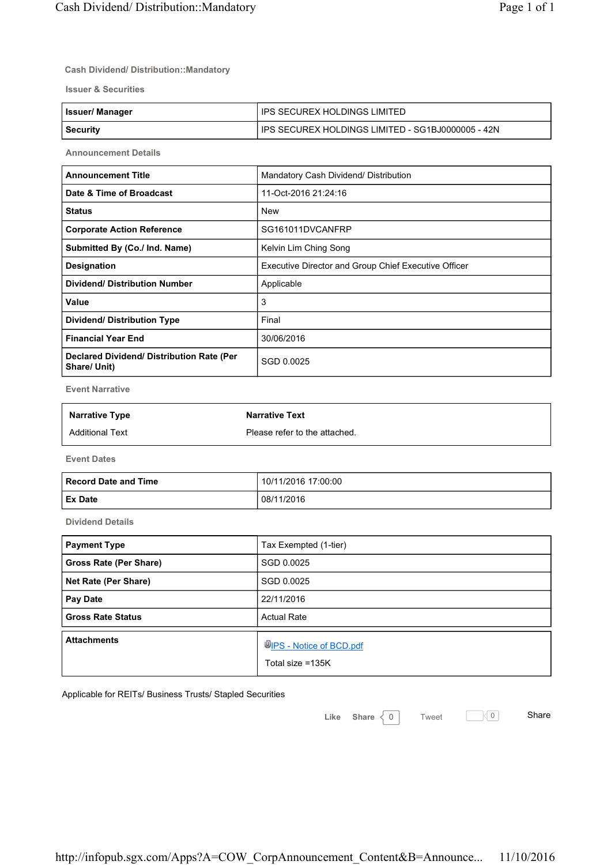## **Cash Dividend/ Distribution::Mandatory**

**Issuer & Securities**

| <b>Issuer/Manager</b> | IPS SECUREX HOLDINGS LIMITED                        |
|-----------------------|-----------------------------------------------------|
| Security              | I IPS SECUREX HOLDINGS LIMITED - SG1BJ0000005 - 42N |

**Announcement Details**

| <b>Announcement Title</b>                                 | Mandatory Cash Dividend/ Distribution                |
|-----------------------------------------------------------|------------------------------------------------------|
| Date & Time of Broadcast                                  | 11-Oct-2016 21:24:16                                 |
| <b>Status</b>                                             | <b>New</b>                                           |
| <b>Corporate Action Reference</b>                         | SG161011DVCANFRP                                     |
| Submitted By (Co./ Ind. Name)                             | Kelvin Lim Ching Song                                |
| Designation                                               | Executive Director and Group Chief Executive Officer |
| <b>Dividend/ Distribution Number</b>                      | Applicable                                           |
| Value                                                     | 3                                                    |
| <b>Dividend/ Distribution Type</b>                        | Final                                                |
| <b>Financial Year End</b>                                 | 30/06/2016                                           |
| Declared Dividend/ Distribution Rate (Per<br>Share/ Unit) | SGD 0.0025                                           |

**Event Narrative**

| <b>Narrative Type</b>  | <b>Narrative Text</b>         |
|------------------------|-------------------------------|
| <b>Additional Text</b> | Please refer to the attached. |

**Event Dates**

| Record Date and Time | 10/11/2016 17:00:00 |
|----------------------|---------------------|
| <b>Ex Date</b>       | 08/11/2016          |

**Dividend Details**

| <b>Payment Type</b>      | Tax Exempted (1-tier)                              |
|--------------------------|----------------------------------------------------|
| Gross Rate (Per Share)   | SGD 0.0025                                         |
| Net Rate (Per Share)     | SGD 0.0025                                         |
| Pay Date                 | 22/11/2016                                         |
| <b>Gross Rate Status</b> | <b>Actual Rate</b>                                 |
| <b>Attachments</b>       | <b>UPS</b> - Notice of BCD.pdf<br>Total size =135K |

Applicable for REITs/ Business Trusts/ Stapled Securities

Like Share 0 Tweet 0 Share

Tweet  $\qquad \qquad \boxed{\bigcirc}$